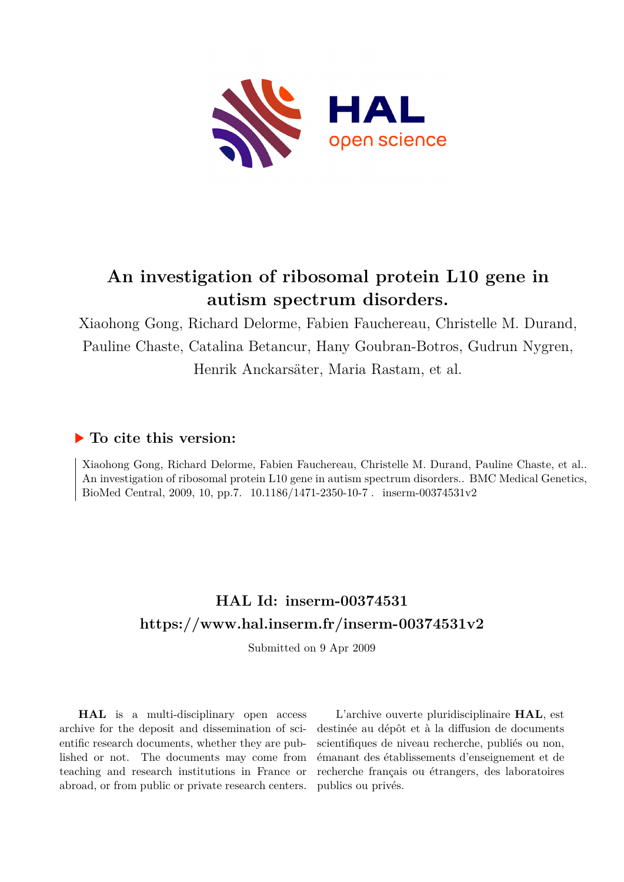

# **An investigation of ribosomal protein L10 gene in autism spectrum disorders.**

Xiaohong Gong, Richard Delorme, Fabien Fauchereau, Christelle M. Durand, Pauline Chaste, Catalina Betancur, Hany Goubran-Botros, Gudrun Nygren, Henrik Anckarsäter, Maria Rastam, et al.

### **To cite this version:**

Xiaohong Gong, Richard Delorme, Fabien Fauchereau, Christelle M. Durand, Pauline Chaste, et al.. An investigation of ribosomal protein L10 gene in autism spectrum disorders.. BMC Medical Genetics, BioMed Central, 2009, 10, pp.7.  $10.1186/1471-2350-10-7$ . inserm-00374531v2

## **HAL Id: inserm-00374531 <https://www.hal.inserm.fr/inserm-00374531v2>**

Submitted on 9 Apr 2009

**HAL** is a multi-disciplinary open access archive for the deposit and dissemination of scientific research documents, whether they are published or not. The documents may come from teaching and research institutions in France or abroad, or from public or private research centers.

L'archive ouverte pluridisciplinaire **HAL**, est destinée au dépôt et à la diffusion de documents scientifiques de niveau recherche, publiés ou non, émanant des établissements d'enseignement et de recherche français ou étrangers, des laboratoires publics ou privés.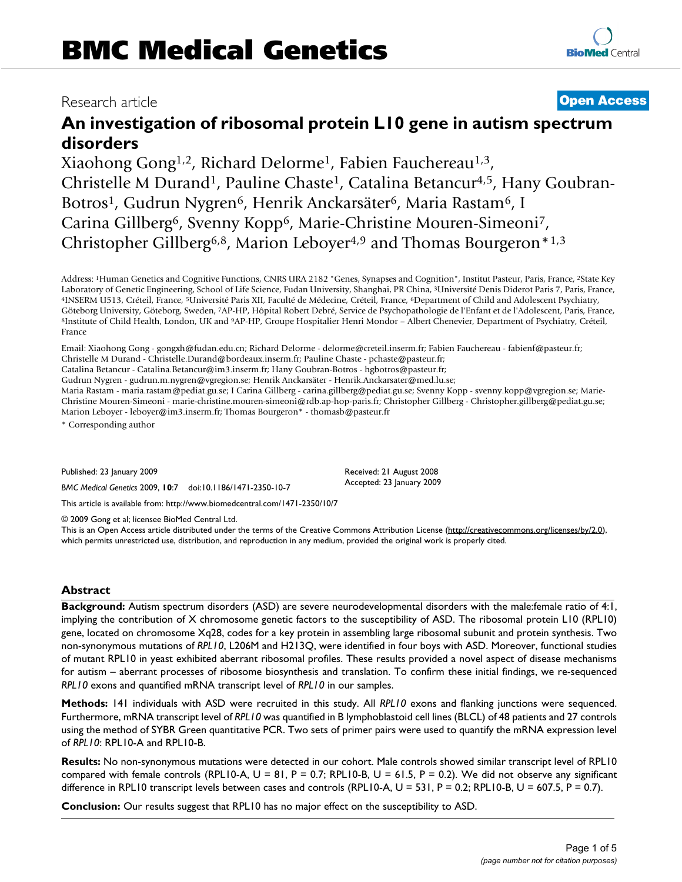### Research article **Contract Contract Contract Contract Contract Contract Contract Contract Contract Contract Contract Contract Contract Contract Contract Contract Contract Contract Contract Contract Contract Contract Contra**

## **An investigation of ribosomal protein L10 gene in autism spectrum disorders**

Xiaohong Gong<sup>1,2</sup>, Richard Delorme<sup>1</sup>, Fabien Fauchereau<sup>1,3</sup>, Christelle M Durand<sup>1</sup>, Pauline Chaste<sup>1</sup>, Catalina Betancur<sup>4,5</sup>, Hany Goubran-Botros<sup>1</sup>, Gudrun Nygren<sup>6</sup>, Henrik Anckarsäter<sup>6</sup>, Maria Rastam<sup>6</sup>, I Carina Gillberg<sup>6</sup>, Svenny Kopp<sup>6</sup>, Marie-Christine Mouren-Simeoni<sup>7</sup>, Christopher Gillberg6,8, Marion Leboyer4,9 and Thomas Bourgeron\*1,3

Address: <sup>1</sup>Human Genetics and Cognitive Functions, CNRS URA 2182 "Genes, Synapses and Cognition", Institut Pasteur, Paris, France, <sup>2</sup>State Key Laboratory of Genetic Engineering, School of Life Science, Fudan University, Shanghai, PR China, <sup>3</sup>Université Denis Diderot Paris 7, Paris, France, <sup>4</sup>INSERM U513, Créteil, France, <sup>5</sup>Université Paris XII, Faculté de Médecine, Créteil, France, <sup>6</sup>Department of Child and Adolescent Psychiatry, Göteborg University, Göteborg, Sweden, <sup>7</sup>AP-HP, Hôpital Robert Debré, Service de Psychopathologie de l'Enfant et de l'Adolescent, Paris, France, <sup>8</sup>Institute of Child Health, London, UK and <sup>9</sup>AP-HP, Groupe Hospitalier Henri Mondor – Albert Chenevier, Department of Psychiatry, Créteil, France

Email: Xiaohong Gong - gongxh@fudan.edu.cn; Richard Delorme - delorme@creteil.inserm.fr; Fabien Fauchereau - fabienf@pasteur.fr; Christelle M Durand - Christelle.Durand@bordeaux.inserm.fr; Pauline Chaste - pchaste@pasteur.fr;

Catalina Betancur - Catalina.Betancur@im3.inserm.fr; Hany Goubran-Botros - hgbotros@pasteur.fr;

Gudrun Nygren - gudrun.m.nygren@vgregion.se; Henrik Anckarsäter - Henrik.Anckarsater@med.lu.se;

Maria Rastam - maria.rastam@pediat.gu.se; I Carina Gillberg - carina.gillberg@pediat.gu.se; Svenny Kopp - svenny.kopp@vgregion.se; Marie-Christine Mouren-Simeoni - marie-christine.mouren-simeoni@rdb.ap-hop-paris.fr; Christopher Gillberg - Christopher.gillberg@pediat.gu.se; Marion Leboyer - leboyer@im3.inserm.fr; Thomas Bourgeron\* - thomasb@pasteur.fr

\* Corresponding author

Published: 23 January 2009

*BMC Medical Genetics* 2009, **10**:7 doi:10.1186/1471-2350-10-7

[This article is available from: http://www.biomedcentral.com/1471-2350/10/7](http://www.biomedcentral.com/1471-2350/10/7)

© 2009 Gong et al; licensee BioMed Central Ltd.

This is an Open Access article distributed under the terms of the Creative Commons Attribution License [\(http://creativecommons.org/licenses/by/2.0\)](http://creativecommons.org/licenses/by/2.0), which permits unrestricted use, distribution, and reproduction in any medium, provided the original work is properly cited.

Received: 21 August 2008 Accepted: 23 January 2009

#### **Abstract**

**Background:** Autism spectrum disorders (ASD) are severe neurodevelopmental disorders with the male:female ratio of 4:1, implying the contribution of X chromosome genetic factors to the susceptibility of ASD. The ribosomal protein L10 (RPL10) gene, located on chromosome Xq28, codes for a key protein in assembling large ribosomal subunit and protein synthesis. Two non-synonymous mutations of *RPL10*, L206M and H213Q, were identified in four boys with ASD. Moreover, functional studies of mutant RPL10 in yeast exhibited aberrant ribosomal profiles. These results provided a novel aspect of disease mechanisms for autism – aberrant processes of ribosome biosynthesis and translation. To confirm these initial findings, we re-sequenced *RPL10* exons and quantified mRNA transcript level of *RPL10* in our samples.

**Methods:** 141 individuals with ASD were recruited in this study. All *RPL10* exons and flanking junctions were sequenced. Furthermore, mRNA transcript level of *RPL10* was quantified in B lymphoblastoid cell lines (BLCL) of 48 patients and 27 controls using the method of SYBR Green quantitative PCR. Two sets of primer pairs were used to quantify the mRNA expression level of *RPL10*: RPL10-A and RPL10-B.

**Results:** No non-synonymous mutations were detected in our cohort. Male controls showed similar transcript level of RPL10 compared with female controls (RPL10-A,  $U = 81$ , P = 0.7; RPL10-B, U = 61.5, P = 0.2). We did not observe any significant difference in RPL10 transcript levels between cases and controls (RPL10-A,  $U = 531$ , P = 0.2; RPL10-B, U = 607.5, P = 0.7).

**Conclusion:** Our results suggest that RPL10 has no major effect on the susceptibility to ASD.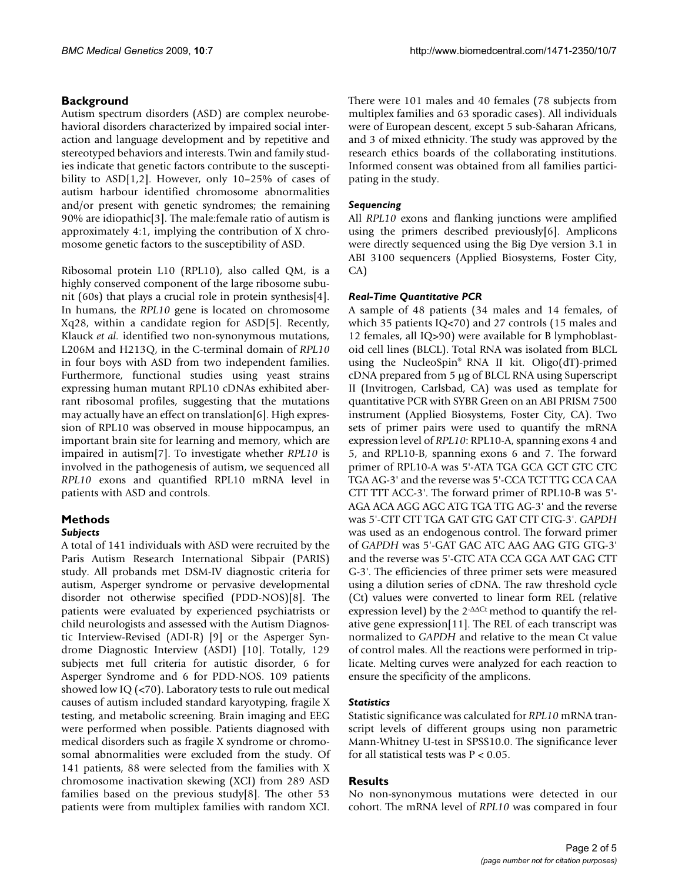#### **Background**

Autism spectrum disorders (ASD) are complex neurobehavioral disorders characterized by impaired social interaction and language development and by repetitive and stereotyped behaviors and interests. Twin and family studies indicate that genetic factors contribute to the susceptibility to ASD[1,2]. However, only 10–25% of cases of autism harbour identified chromosome abnormalities and/or present with genetic syndromes; the remaining 90% are idiopathic[3]. The male:female ratio of autism is approximately 4:1, implying the contribution of X chromosome genetic factors to the susceptibility of ASD.

Ribosomal protein L10 (RPL10), also called QM, is a highly conserved component of the large ribosome subunit (60s) that plays a crucial role in protein synthesis[4]. In humans, the *RPL10* gene is located on chromosome Xq28, within a candidate region for ASD[5]. Recently, Klauck *et al.* identified two non-synonymous mutations, L206M and H213Q, in the C-terminal domain of *RPL10* in four boys with ASD from two independent families. Furthermore, functional studies using yeast strains expressing human mutant RPL10 cDNAs exhibited aberrant ribosomal profiles, suggesting that the mutations may actually have an effect on translation[6]. High expression of RPL10 was observed in mouse hippocampus, an important brain site for learning and memory, which are impaired in autism[7]. To investigate whether *RPL10* is involved in the pathogenesis of autism, we sequenced all *RPL10* exons and quantified RPL10 mRNA level in patients with ASD and controls.

#### **Methods**

#### *Subjects*

A total of 141 individuals with ASD were recruited by the Paris Autism Research International Sibpair (PARIS) study. All probands met DSM-IV diagnostic criteria for autism, Asperger syndrome or pervasive developmental disorder not otherwise specified (PDD-NOS)[8]. The patients were evaluated by experienced psychiatrists or child neurologists and assessed with the Autism Diagnostic Interview-Revised (ADI-R) [9] or the Asperger Syndrome Diagnostic Interview (ASDI) [10]. Totally, 129 subjects met full criteria for autistic disorder, 6 for Asperger Syndrome and 6 for PDD-NOS. 109 patients showed low IQ (<70). Laboratory tests to rule out medical causes of autism included standard karyotyping, fragile X testing, and metabolic screening. Brain imaging and EEG were performed when possible. Patients diagnosed with medical disorders such as fragile X syndrome or chromosomal abnormalities were excluded from the study. Of 141 patients, 88 were selected from the families with X chromosome inactivation skewing (XCI) from 289 ASD families based on the previous study[8]. The other 53 patients were from multiplex families with random XCI.

There were 101 males and 40 females (78 subjects from multiplex families and 63 sporadic cases). All individuals were of European descent, except 5 sub-Saharan Africans, and 3 of mixed ethnicity. The study was approved by the research ethics boards of the collaborating institutions. Informed consent was obtained from all families participating in the study.

#### *Sequencing*

All *RPL10* exons and flanking junctions were amplified using the primers described previously[6]. Amplicons were directly sequenced using the Big Dye version 3.1 in ABI 3100 sequencers (Applied Biosystems, Foster City, CA)

#### *Real-Time Quantitative PCR*

A sample of 48 patients (34 males and 14 females, of which 35 patients IQ<70) and 27 controls (15 males and 12 females, all IQ>90) were available for B lymphoblastoid cell lines (BLCL). Total RNA was isolated from BLCL using the NucleoSpin® RNA II kit. Oligo(dT)-primed cDNA prepared from 5 μg of BLCL RNA using Superscript II (Invitrogen, Carlsbad, CA) was used as template for quantitative PCR with SYBR Green on an ABI PRISM 7500 instrument (Applied Biosystems, Foster City, CA). Two sets of primer pairs were used to quantify the mRNA expression level of *RPL10*: RPL10-A, spanning exons 4 and 5, and RPL10-B, spanning exons 6 and 7. The forward primer of RPL10-A was 5'-ATA TGA GCA GCT GTC CTC TGA AG-3' and the reverse was 5'-CCA TCT TTG CCA CAA CTT TTT ACC-3'. The forward primer of RPL10-B was 5'- AGA ACA AGG AGC ATG TGA TTG AG-3' and the reverse was 5'-CTT CTT TGA GAT GTG GAT CTT CTG-3'. *GAPDH* was used as an endogenous control. The forward primer of *GAPDH* was 5'-GAT GAC ATC AAG AAG GTG GTG-3' and the reverse was 5'-GTC ATA CCA GGA AAT GAG CTT G-3'. The efficiencies of three primer sets were measured using a dilution series of cDNA. The raw threshold cycle (Ct) values were converted to linear form REL (relative expression level) by the 2-ΔΔCt method to quantify the relative gene expression[11]. The REL of each transcript was normalized to *GAPDH* and relative to the mean Ct value of control males. All the reactions were performed in triplicate. Melting curves were analyzed for each reaction to ensure the specificity of the amplicons.

#### *Statistics*

Statistic significance was calculated for *RPL10* mRNA transcript levels of different groups using non parametric Mann-Whitney U-test in SPSS10.0. The significance lever for all statistical tests was  $P < 0.05$ .

#### **Results**

No non-synonymous mutations were detected in our cohort. The mRNA level of *RPL10* was compared in four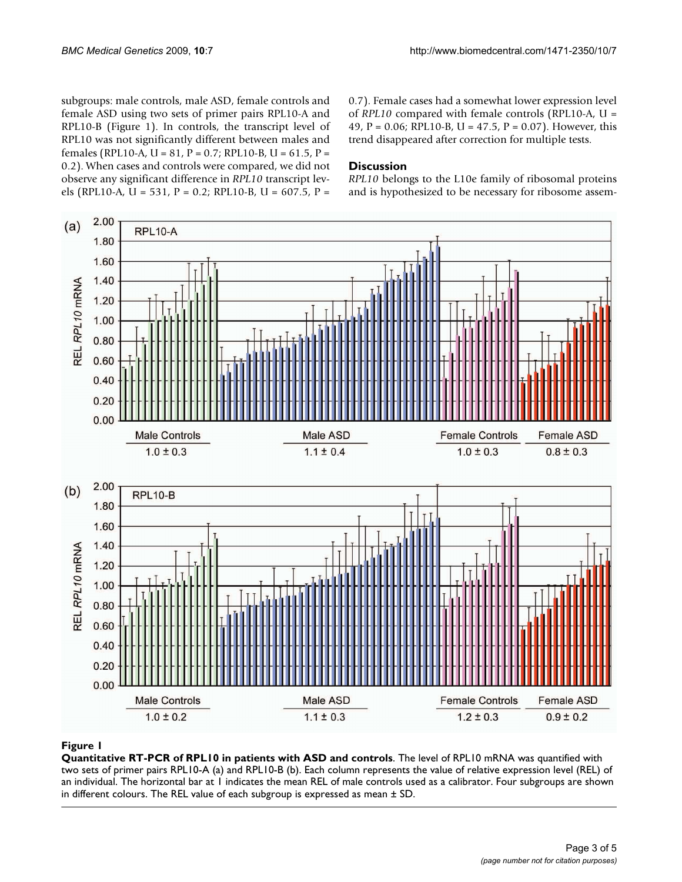subgroups: male controls, male ASD, female controls and female ASD using two sets of primer pairs RPL10-A and RPL10-B (Figure 1). In controls, the transcript level of RPL10 was not significantly different between males and females (RPL10-A, U = 81, P = 0.7; RPL10-B, U = 61.5, P = 0.2). When cases and controls were compared, we did not observe any significant difference in *RPL10* transcript levels (RPL10-A, U = 531, P = 0.2; RPL10-B, U = 607.5, P =

0.7). Female cases had a somewhat lower expression level of *RPL10* compared with female controls (RPL10-A, U = 49, P = 0.06; RPL10-B, U = 47.5, P = 0.07). However, this trend disappeared after correction for multiple tests.

#### **Discussion**

*RPL10* belongs to the L10e family of ribosomal proteins and is hypothesized to be necessary for ribosome assem-



#### Figure 1

**Quantitative RT-PCR of RPL10 in patients with ASD and controls**. The level of RPL10 mRNA was quantified with two sets of primer pairs RPL10-A (a) and RPL10-B (b). Each column represents the value of relative expression level (REL) of an individual. The horizontal bar at 1 indicates the mean REL of male controls used as a calibrator. Four subgroups are shown in different colours. The REL value of each subgroup is expressed as mean ± SD.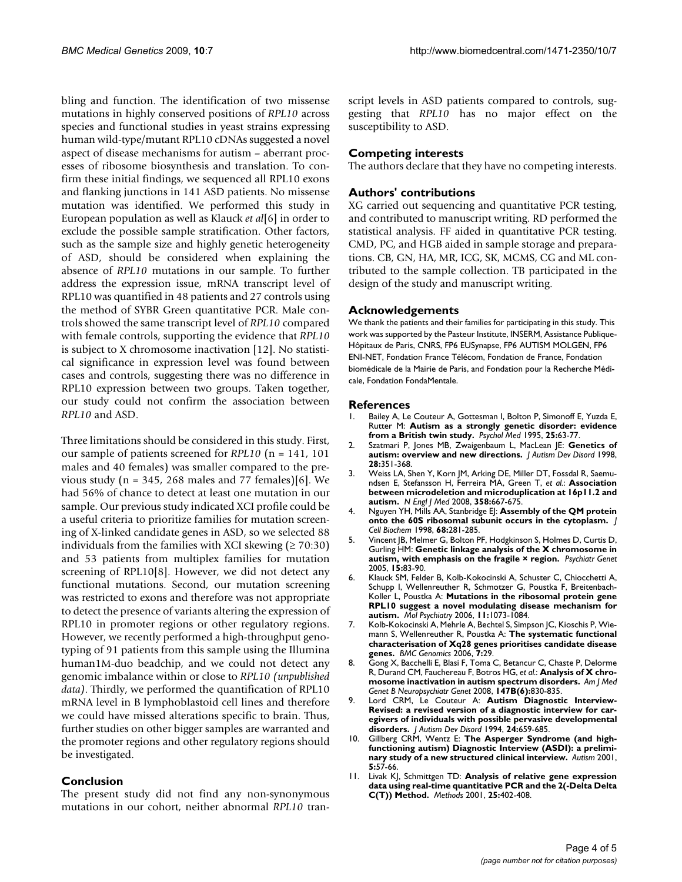bling and function. The identification of two missense mutations in highly conserved positions of *RPL10* across species and functional studies in yeast strains expressing human wild-type/mutant RPL10 cDNAs suggested a novel aspect of disease mechanisms for autism – aberrant processes of ribosome biosynthesis and translation. To confirm these initial findings, we sequenced all RPL10 exons and flanking junctions in 141 ASD patients. No missense mutation was identified. We performed this study in European population as well as Klauck *et al*[6] in order to exclude the possible sample stratification. Other factors, such as the sample size and highly genetic heterogeneity of ASD, should be considered when explaining the absence of *RPL10* mutations in our sample. To further address the expression issue, mRNA transcript level of RPL10 was quantified in 48 patients and 27 controls using the method of SYBR Green quantitative PCR. Male controls showed the same transcript level of *RPL10* compared with female controls, supporting the evidence that *RPL10* is subject to X chromosome inactivation [12]. No statistical significance in expression level was found between cases and controls, suggesting there was no difference in RPL10 expression between two groups. Taken together, our study could not confirm the association between *RPL10* and ASD.

Three limitations should be considered in this study. First, our sample of patients screened for *RPL10* (n = 141, 101 males and 40 females) was smaller compared to the previous study ( $n = 345$ , 268 males and 77 females)[6]. We had 56% of chance to detect at least one mutation in our sample. Our previous study indicated XCI profile could be a useful criteria to prioritize families for mutation screening of X-linked candidate genes in ASD, so we selected 88 individuals from the families with XCI skewing ( $\geq 70:30$ ) and 53 patients from multiplex families for mutation screening of RPL10[8]. However, we did not detect any functional mutations. Second, our mutation screening was restricted to exons and therefore was not appropriate to detect the presence of variants altering the expression of RPL10 in promoter regions or other regulatory regions. However, we recently performed a high-throughput genotyping of 91 patients from this sample using the Illumina human1M-duo beadchip, and we could not detect any genomic imbalance within or close to *RPL10 (unpublished data)*. Thirdly, we performed the quantification of RPL10 mRNA level in B lymphoblastoid cell lines and therefore we could have missed alterations specific to brain. Thus, further studies on other bigger samples are warranted and the promoter regions and other regulatory regions should be investigated.

#### **Conclusion**

The present study did not find any non-synonymous mutations in our cohort, neither abnormal *RPL10* transcript levels in ASD patients compared to controls, suggesting that *RPL10* has no major effect on the susceptibility to ASD.

#### **Competing interests**

The authors declare that they have no competing interests.

#### **Authors' contributions**

XG carried out sequencing and quantitative PCR testing, and contributed to manuscript writing. RD performed the statistical analysis. FF aided in quantitative PCR testing. CMD, PC, and HGB aided in sample storage and preparations. CB, GN, HA, MR, ICG, SK, MCMS, CG and ML contributed to the sample collection. TB participated in the design of the study and manuscript writing.

#### **Acknowledgements**

We thank the patients and their families for participating in this study. This work was supported by the Pasteur Institute, INSERM, Assistance Publique-Hôpitaux de Paris, CNRS, FP6 EUSynapse, FP6 AUTISM MOLGEN, FP6 ENI-NET, Fondation France Télécom, Fondation de France, Fondation biomédicale de la Mairie de Paris, and Fondation pour la Recherche Médicale, Fondation FondaMentale.

#### **References**

- 1. Bailey A, Le Couteur A, Gottesman I, Bolton P, Simonoff E, Yuzda E, Rutter M: **[Autism as a strongly genetic disorder: evidence](http://www.ncbi.nlm.nih.gov/entrez/query.fcgi?cmd=Retrieve&db=PubMed&dopt=Abstract&list_uids=7792363) [from a British twin study.](http://www.ncbi.nlm.nih.gov/entrez/query.fcgi?cmd=Retrieve&db=PubMed&dopt=Abstract&list_uids=7792363)** *Psychol Med* 1995, **25:**63-77.
- 2. Szatmari P, Jones MB, Zwaigenbaum L, MacLean JE: **[Genetics of](http://www.ncbi.nlm.nih.gov/entrez/query.fcgi?cmd=Retrieve&db=PubMed&dopt=Abstract&list_uids=9813773) [autism: overview and new directions.](http://www.ncbi.nlm.nih.gov/entrez/query.fcgi?cmd=Retrieve&db=PubMed&dopt=Abstract&list_uids=9813773)** *J Autism Dev Disord* 1998, **28:**351-368.
- 3. Weiss LA, Shen Y, Korn JM, Arking DE, Miller DT, Fossdal R, Saemundsen E, Stefansson H, Ferreira MA, Green T, *et al.*: **[Association](http://www.ncbi.nlm.nih.gov/entrez/query.fcgi?cmd=Retrieve&db=PubMed&dopt=Abstract&list_uids=18184952) [between microdeletion and microduplication at 16p11.2 and](http://www.ncbi.nlm.nih.gov/entrez/query.fcgi?cmd=Retrieve&db=PubMed&dopt=Abstract&list_uids=18184952) [autism.](http://www.ncbi.nlm.nih.gov/entrez/query.fcgi?cmd=Retrieve&db=PubMed&dopt=Abstract&list_uids=18184952)** *N Engl J Med* 2008, **358:**667-675.
- 4. Nguyen YH, Mills AA, Stanbridge E|: [Assembly of the QM protein](http://www.ncbi.nlm.nih.gov/entrez/query.fcgi?cmd=Retrieve&db=PubMed&dopt=Abstract&list_uids=9443083) **[onto the 60S ribosomal subunit occurs in the cytoplasm.](http://www.ncbi.nlm.nih.gov/entrez/query.fcgi?cmd=Retrieve&db=PubMed&dopt=Abstract&list_uids=9443083)** *J Cell Biochem* 1998, **68:**281-285.
- 5. Vincent JB, Melmer G, Bolton PF, Hodgkinson S, Holmes D, Curtis D, Gurling HM: **[Genetic linkage analysis of the X chromosome in](http://www.ncbi.nlm.nih.gov/entrez/query.fcgi?cmd=Retrieve&db=PubMed&dopt=Abstract&list_uids=15900222) [autism, with emphasis on the fragile × region.](http://www.ncbi.nlm.nih.gov/entrez/query.fcgi?cmd=Retrieve&db=PubMed&dopt=Abstract&list_uids=15900222)** *Psychiatr Genet* 2005, **15:**83-90.
- 6. Klauck SM, Felder B, Kolb-Kokocinski A, Schuster C, Chiocchetti A, Schupp I, Wellenreuther R, Schmotzer G, Poustka F, Breitenbach-Koller L, Poustka A: **[Mutations in the ribosomal protein gene](http://www.ncbi.nlm.nih.gov/entrez/query.fcgi?cmd=Retrieve&db=PubMed&dopt=Abstract&list_uids=16940977) [RPL10 suggest a novel modulating disease mechanism for](http://www.ncbi.nlm.nih.gov/entrez/query.fcgi?cmd=Retrieve&db=PubMed&dopt=Abstract&list_uids=16940977) [autism.](http://www.ncbi.nlm.nih.gov/entrez/query.fcgi?cmd=Retrieve&db=PubMed&dopt=Abstract&list_uids=16940977)** *Mol Psychiatry* 2006, **11:**1073-1084.
- 7. Kolb-Kokocinski A, Mehrle A, Bechtel S, Simpson JC, Kioschis P, Wiemann S, Wellenreuther R, Poustka A: **[The systematic functional](http://www.ncbi.nlm.nih.gov/entrez/query.fcgi?cmd=Retrieve&db=PubMed&dopt=Abstract&list_uids=16503986) [characterisation of Xq28 genes prioritises candidate disease](http://www.ncbi.nlm.nih.gov/entrez/query.fcgi?cmd=Retrieve&db=PubMed&dopt=Abstract&list_uids=16503986) [genes.](http://www.ncbi.nlm.nih.gov/entrez/query.fcgi?cmd=Retrieve&db=PubMed&dopt=Abstract&list_uids=16503986)** *BMC Genomics* 2006, **7:**29.
- 8. Gong X, Bacchelli E, Blasi F, Toma C, Betancur C, Chaste P, Delorme R, Durand CM, Fauchereau F, Botros HG, *et al.*: **[Analysis of X chro](http://www.ncbi.nlm.nih.gov/entrez/query.fcgi?cmd=Retrieve&db=PubMed&dopt=Abstract&list_uids=18361425)[mosome inactivation in autism spectrum disorders.](http://www.ncbi.nlm.nih.gov/entrez/query.fcgi?cmd=Retrieve&db=PubMed&dopt=Abstract&list_uids=18361425)** *Am J Med Genet B Neuropsychiatr Genet* 2008, **147B(6):**830-835.
- 9. Lord CRM, Le Couteur A: **[Autism Diagnostic Interview-](http://www.ncbi.nlm.nih.gov/entrez/query.fcgi?cmd=Retrieve&db=PubMed&dopt=Abstract&list_uids=7814313)Revised: a revised version of a diagnostic interview for car[egivers of individuals with possible pervasive developmental](http://www.ncbi.nlm.nih.gov/entrez/query.fcgi?cmd=Retrieve&db=PubMed&dopt=Abstract&list_uids=7814313) [disorders.](http://www.ncbi.nlm.nih.gov/entrez/query.fcgi?cmd=Retrieve&db=PubMed&dopt=Abstract&list_uids=7814313)** *J Autism Dev Disord* 1994, **24:**659-685.
- 10. Gillberg CRM, Wentz E: **[The Asperger Syndrome \(and high](http://www.ncbi.nlm.nih.gov/entrez/query.fcgi?cmd=Retrieve&db=PubMed&dopt=Abstract&list_uids=11708390)[functioning autism\) Diagnostic Interview \(ASDI\): a prelimi](http://www.ncbi.nlm.nih.gov/entrez/query.fcgi?cmd=Retrieve&db=PubMed&dopt=Abstract&list_uids=11708390)[nary study of a new structured clinical interview.](http://www.ncbi.nlm.nih.gov/entrez/query.fcgi?cmd=Retrieve&db=PubMed&dopt=Abstract&list_uids=11708390)** *Autism* 2001, **5:**57-66.
- 11. Livak KJ, Schmittgen TD: **[Analysis of relative gene expression](http://www.ncbi.nlm.nih.gov/entrez/query.fcgi?cmd=Retrieve&db=PubMed&dopt=Abstract&list_uids=11846609) [data using real-time quantitative PCR and the 2\(-Delta Delta](http://www.ncbi.nlm.nih.gov/entrez/query.fcgi?cmd=Retrieve&db=PubMed&dopt=Abstract&list_uids=11846609) [C\(T\)\) Method.](http://www.ncbi.nlm.nih.gov/entrez/query.fcgi?cmd=Retrieve&db=PubMed&dopt=Abstract&list_uids=11846609)** *Methods* 2001, **25:**402-408.